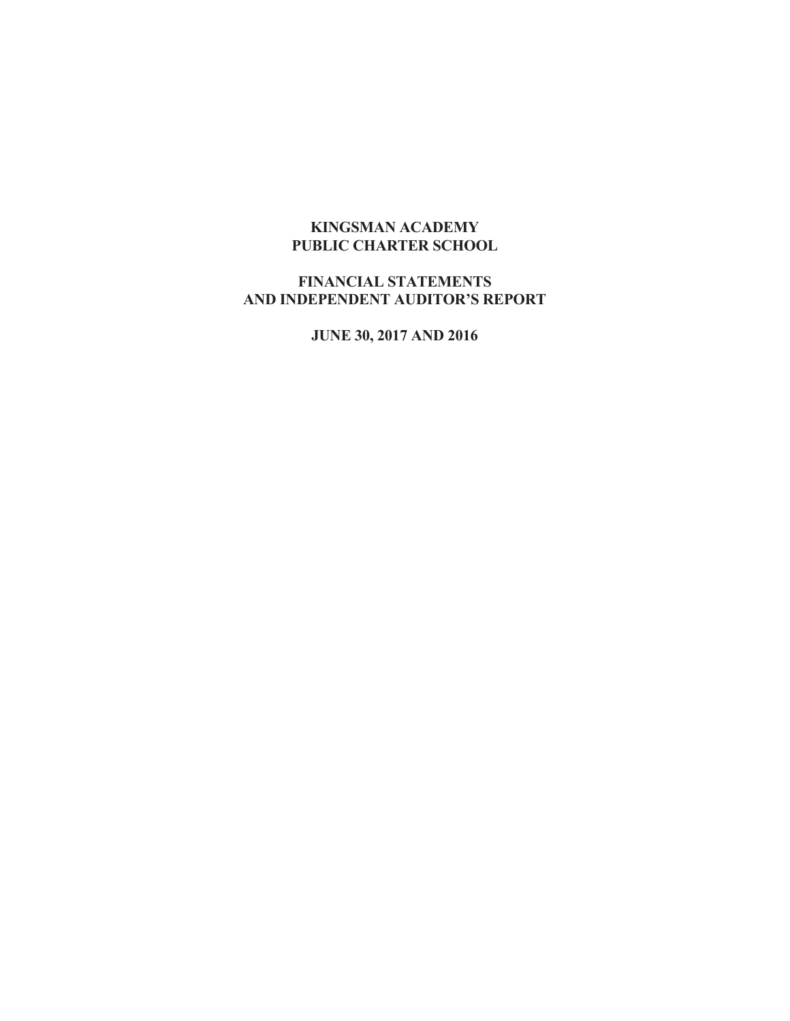# **KINGSMAN ACADEMY PUBLIC CHARTER SCHOOL**

# **FINANCIAL STATEMENTS AND INDEPENDENT AUDITOR'S REPORT**

**JUNE 30, 2017 AND 2016**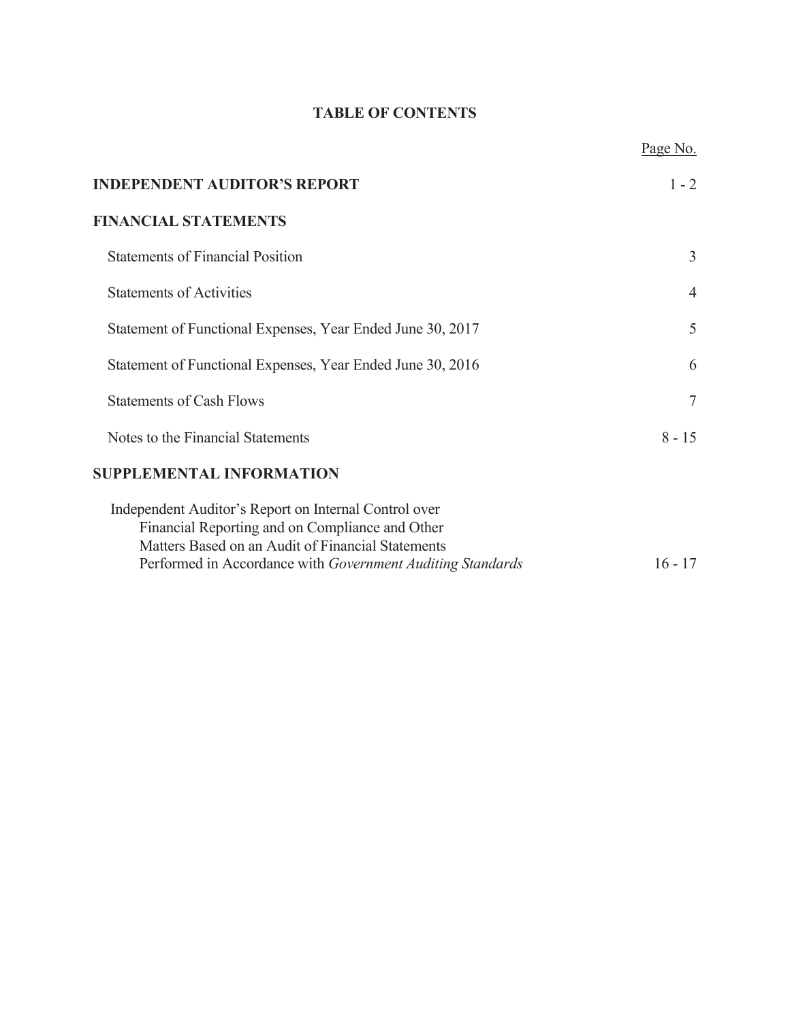# **TABLE OF CONTENTS**

|                                                                                                                                                               | Page No.       |
|---------------------------------------------------------------------------------------------------------------------------------------------------------------|----------------|
| <b>INDEPENDENT AUDITOR'S REPORT</b>                                                                                                                           | $1 - 2$        |
| <b>FINANCIAL STATEMENTS</b>                                                                                                                                   |                |
| <b>Statements of Financial Position</b>                                                                                                                       | 3              |
| <b>Statements of Activities</b>                                                                                                                               | $\overline{4}$ |
| Statement of Functional Expenses, Year Ended June 30, 2017                                                                                                    | 5              |
| Statement of Functional Expenses, Year Ended June 30, 2016                                                                                                    | 6              |
| <b>Statements of Cash Flows</b>                                                                                                                               | $\overline{7}$ |
| Notes to the Financial Statements                                                                                                                             | $8 - 15$       |
| <b>SUPPLEMENTAL INFORMATION</b>                                                                                                                               |                |
| Independent Auditor's Report on Internal Control over<br>Financial Reporting and on Compliance and Other<br>Matters Based on an Audit of Financial Statements |                |
| Performed in Accordance with Government Auditing Standards                                                                                                    | $16 - 17$      |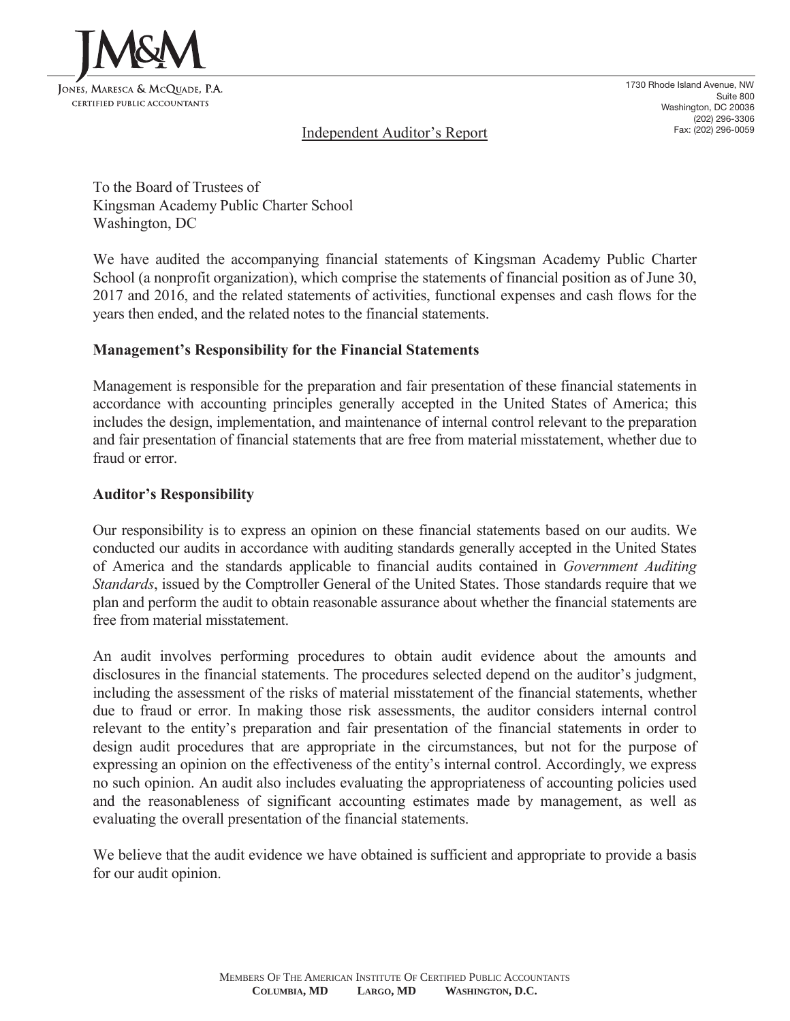

1730 Rhode Island Avenue, NW Suite 800 Washington, DC 20036 (202) 296-3306 Fax: (202) 296-0059

## Independent Auditor's Report

To the Board of Trustees of Kingsman Academy Public Charter School Washington, DC

We have audited the accompanying financial statements of Kingsman Academy Public Charter School (a nonprofit organization), which comprise the statements of financial position as of June 30, 2017 and 2016, and the related statements of activities, functional expenses and cash flows for the years then ended, and the related notes to the financial statements.

# **Management's Responsibility for the Financial Statements**

Management is responsible for the preparation and fair presentation of these financial statements in accordance with accounting principles generally accepted in the United States of America; this includes the design, implementation, and maintenance of internal control relevant to the preparation and fair presentation of financial statements that are free from material misstatement, whether due to fraud or error.

# **Auditor's Responsibility**

Our responsibility is to express an opinion on these financial statements based on our audits. We conducted our audits in accordance with auditing standards generally accepted in the United States of America and the standards applicable to financial audits contained in *Government Auditing Standards*, issued by the Comptroller General of the United States. Those standards require that we plan and perform the audit to obtain reasonable assurance about whether the financial statements are free from material misstatement.

An audit involves performing procedures to obtain audit evidence about the amounts and disclosures in the financial statements. The procedures selected depend on the auditor's judgment, including the assessment of the risks of material misstatement of the financial statements, whether due to fraud or error. In making those risk assessments, the auditor considers internal control relevant to the entity's preparation and fair presentation of the financial statements in order to design audit procedures that are appropriate in the circumstances, but not for the purpose of expressing an opinion on the effectiveness of the entity's internal control. Accordingly, we express no such opinion. An audit also includes evaluating the appropriateness of accounting policies used and the reasonableness of significant accounting estimates made by management, as well as evaluating the overall presentation of the financial statements.

We believe that the audit evidence we have obtained is sufficient and appropriate to provide a basis for our audit opinion.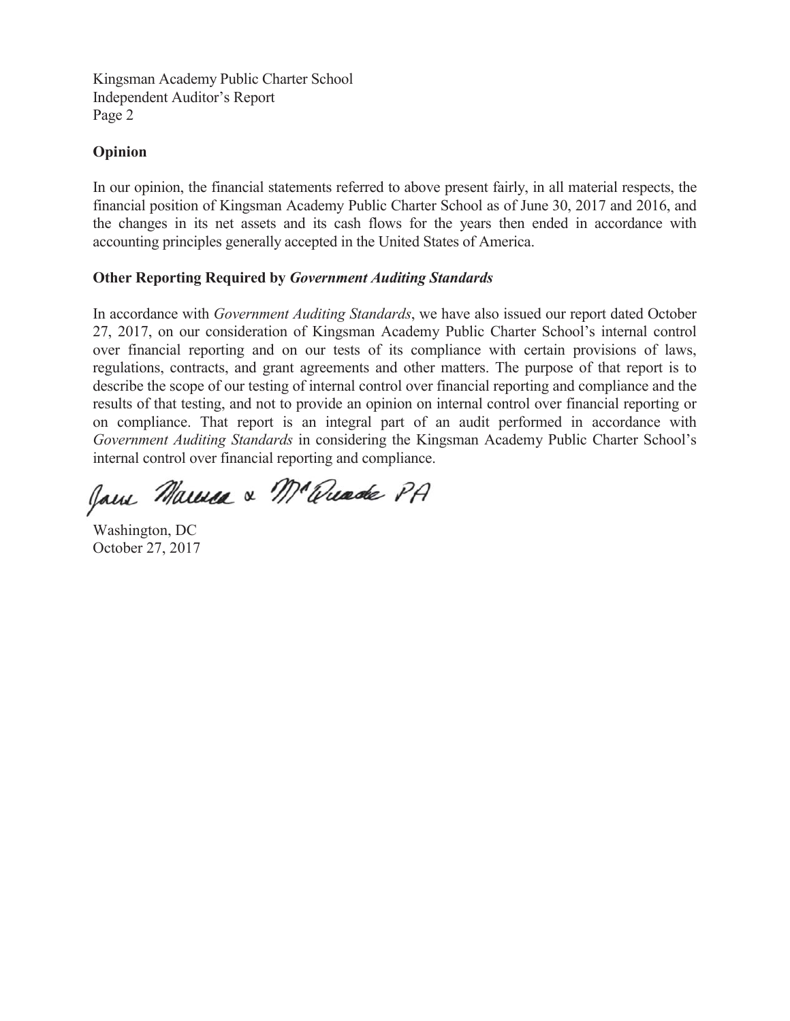Kingsman Academy Public Charter School Independent Auditor's Report Page 2

# **Opinion**

In our opinion, the financial statements referred to above present fairly, in all material respects, the financial position of Kingsman Academy Public Charter School as of June 30, 2017 and 2016, and the changes in its net assets and its cash flows for the years then ended in accordance with accounting principles generally accepted in the United States of America.

# **Other Reporting Required by** *Government Auditing Standards*

In accordance with *Government Auditing Standards*, we have also issued our report dated October 27, 2017, on our consideration of Kingsman Academy Public Charter School's internal control over financial reporting and on our tests of its compliance with certain provisions of laws, regulations, contracts, and grant agreements and other matters. The purpose of that report is to describe the scope of our testing of internal control over financial reporting and compliance and the results of that testing, and not to provide an opinion on internal control over financial reporting or on compliance. That report is an integral part of an audit performed in accordance with *Government Auditing Standards* in considering the Kingsman Academy Public Charter School's internal control over financial reporting and compliance.

Jame Marca & Ma Quade PA

Washington, DC October 27, 2017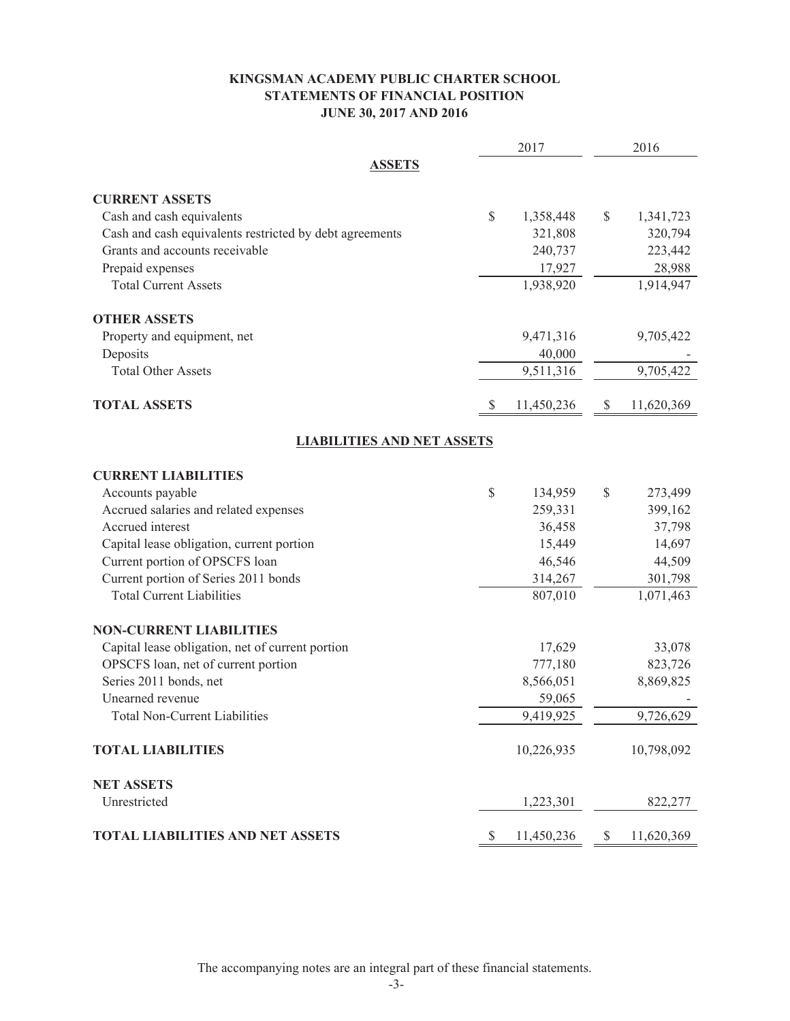## **KINGSMAN ACADEMY PUBLIC CHARTER SCHOOL STATEMENTS OF FINANCIAL POSITION JUNE 30, 2017 AND 2016**

|                                                         |                                   | 2017       |              | 2016       |
|---------------------------------------------------------|-----------------------------------|------------|--------------|------------|
|                                                         | <b>ASSETS</b>                     |            |              |            |
| <b>CURRENT ASSETS</b>                                   |                                   |            |              |            |
| Cash and cash equivalents                               | \$                                | 1,358,448  | \$           | 1,341,723  |
| Cash and cash equivalents restricted by debt agreements |                                   | 321,808    |              | 320,794    |
| Grants and accounts receivable                          |                                   | 240,737    |              | 223,442    |
| Prepaid expenses                                        |                                   | 17,927     |              | 28,988     |
| <b>Total Current Assets</b>                             |                                   | 1,938,920  |              | 1,914,947  |
| <b>OTHER ASSETS</b>                                     |                                   |            |              |            |
| Property and equipment, net                             |                                   | 9,471,316  |              | 9,705,422  |
| Deposits                                                |                                   | 40,000     |              |            |
| <b>Total Other Assets</b>                               |                                   | 9,511,316  |              | 9,705,422  |
| <b>TOTAL ASSETS</b>                                     | \$                                | 11,450,236 | $\mathbb{S}$ | 11,620,369 |
|                                                         | <b>LIABILITIES AND NET ASSETS</b> |            |              |            |
| <b>CURRENT LIABILITIES</b>                              |                                   |            |              |            |
| Accounts payable                                        | \$                                | 134,959    | $\mathbb{S}$ | 273,499    |
| Accrued salaries and related expenses                   |                                   | 259,331    |              | 399,162    |
| Accrued interest                                        |                                   | 36,458     |              | 37,798     |
| Capital lease obligation, current portion               |                                   | 15,449     |              | 14,697     |
| Current portion of OPSCFS loan                          |                                   | 46,546     |              | 44,509     |
| Current portion of Series 2011 bonds                    |                                   | 314,267    |              | 301,798    |
| <b>Total Current Liabilities</b>                        |                                   | 807,010    |              | 1,071,463  |
| <b>NON-CURRENT LIABILITIES</b>                          |                                   |            |              |            |
| Capital lease obligation, net of current portion        |                                   | 17,629     |              | 33,078     |
| OPSCFS loan, net of current portion                     |                                   | 777,180    |              | 823,726    |
| Series 2011 bonds, net                                  |                                   | 8,566,051  |              | 8,869,825  |
| Unearned revenue                                        |                                   | 59,065     |              |            |
| <b>Total Non-Current Liabilities</b>                    |                                   | 9,419,925  |              | 9,726,629  |
| <b>TOTAL LIABILITIES</b>                                |                                   | 10,226,935 |              | 10,798,092 |
| <b>NET ASSETS</b>                                       |                                   |            |              |            |
| Unrestricted                                            |                                   | 1,223,301  |              | 822,277    |
| <b>TOTAL LIABILITIES AND NET ASSETS</b>                 | \$                                | 11,450,236 | $\mathbb{S}$ | 11,620,369 |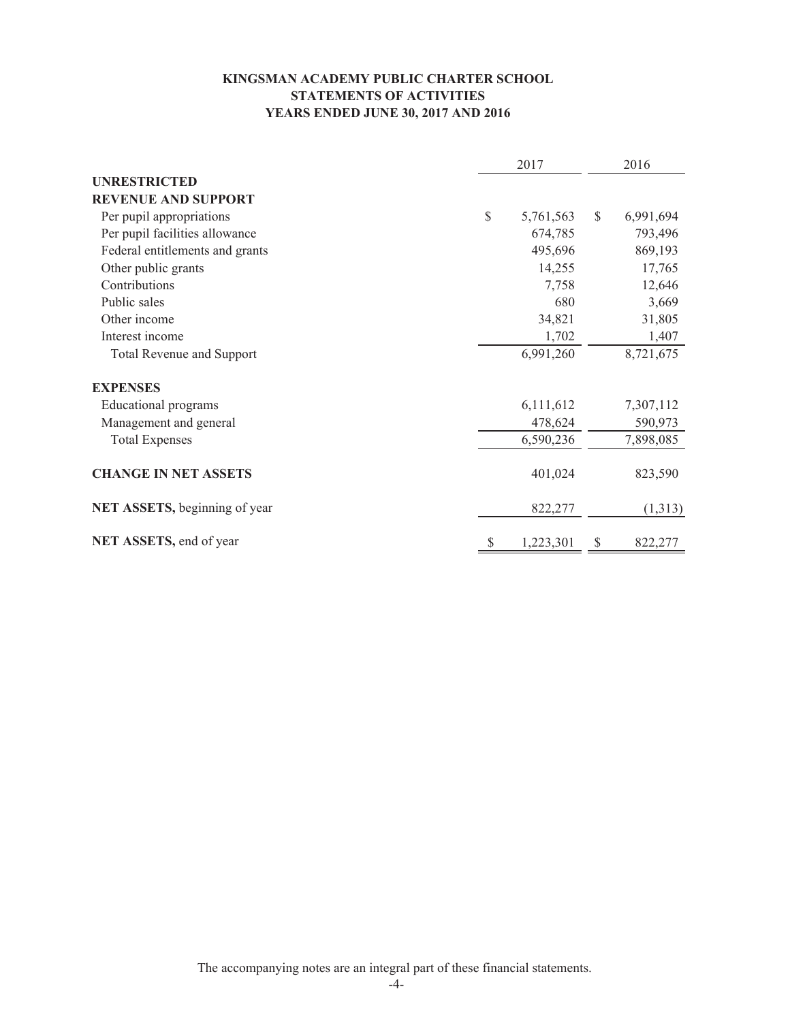# **KINGSMAN ACADEMY PUBLIC CHARTER SCHOOL STATEMENTS OF ACTIVITIES YEARS ENDED JUNE 30, 2017 AND 2016**

|                                  | 2017         |           |              | 2016      |  |
|----------------------------------|--------------|-----------|--------------|-----------|--|
| <b>UNRESTRICTED</b>              |              |           |              |           |  |
| <b>REVENUE AND SUPPORT</b>       |              |           |              |           |  |
| Per pupil appropriations         | $\mathbb{S}$ | 5,761,563 | $\mathbb{S}$ | 6,991,694 |  |
| Per pupil facilities allowance   |              | 674,785   |              | 793,496   |  |
| Federal entitlements and grants  |              | 495,696   |              | 869,193   |  |
| Other public grants              |              | 14,255    |              | 17,765    |  |
| Contributions                    |              | 7,758     |              | 12,646    |  |
| Public sales                     |              | 680       |              | 3,669     |  |
| Other income                     |              | 34,821    |              | 31,805    |  |
| Interest income                  |              | 1,702     |              | 1,407     |  |
| <b>Total Revenue and Support</b> |              | 6,991,260 |              | 8,721,675 |  |
| <b>EXPENSES</b>                  |              |           |              |           |  |
| Educational programs             |              | 6,111,612 |              | 7,307,112 |  |
| Management and general           |              | 478,624   |              | 590,973   |  |
| <b>Total Expenses</b>            |              | 6,590,236 |              | 7,898,085 |  |
| <b>CHANGE IN NET ASSETS</b>      |              | 401,024   |              | 823,590   |  |
| NET ASSETS, beginning of year    |              | 822,277   |              | (1,313)   |  |
| NET ASSETS, end of year          |              | 1,223,301 |              | 822,277   |  |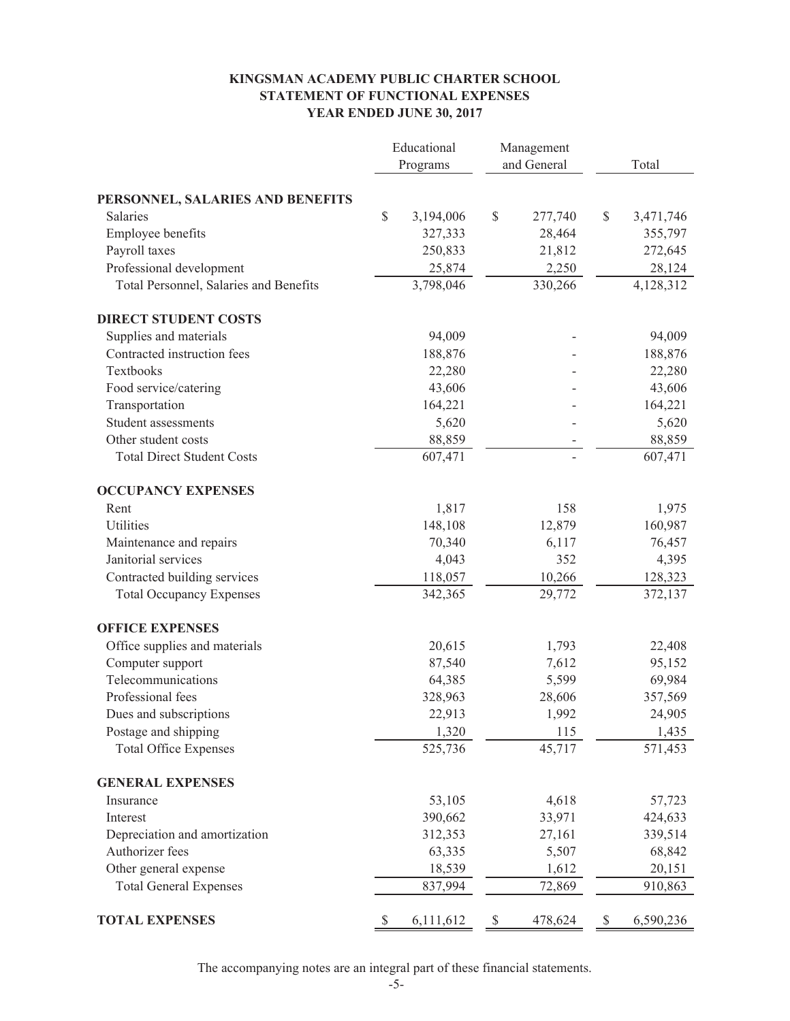## **KINGSMAN ACADEMY PUBLIC CHARTER SCHOOL STATEMENT OF FUNCTIONAL EXPENSES YEAR ENDED JUNE 30, 2017**

|                                        | Educational |           | Management  |         |              |           |
|----------------------------------------|-------------|-----------|-------------|---------|--------------|-----------|
|                                        |             | Programs  | and General |         | Total        |           |
|                                        |             |           |             |         |              |           |
| PERSONNEL, SALARIES AND BENEFITS       |             |           |             |         |              |           |
| Salaries                               | \$          | 3,194,006 | \$          | 277,740 | $\mathbb{S}$ | 3,471,746 |
| Employee benefits                      |             | 327,333   |             | 28,464  |              | 355,797   |
| Payroll taxes                          |             | 250,833   |             | 21,812  |              | 272,645   |
| Professional development               |             | 25,874    |             | 2,250   |              | 28,124    |
| Total Personnel, Salaries and Benefits |             | 3,798,046 |             | 330,266 |              | 4,128,312 |
| <b>DIRECT STUDENT COSTS</b>            |             |           |             |         |              |           |
| Supplies and materials                 |             | 94,009    |             |         |              | 94,009    |
| Contracted instruction fees            |             | 188,876   |             |         |              | 188,876   |
| Textbooks                              |             | 22,280    |             |         |              | 22,280    |
| Food service/catering                  |             | 43,606    |             |         |              | 43,606    |
| Transportation                         |             | 164,221   |             |         |              | 164,221   |
| Student assessments                    |             | 5,620     |             |         |              | 5,620     |
| Other student costs                    |             | 88,859    |             |         |              | 88,859    |
| <b>Total Direct Student Costs</b>      |             | 607,471   |             |         |              | 607,471   |
| <b>OCCUPANCY EXPENSES</b>              |             |           |             |         |              |           |
| Rent                                   |             | 1,817     |             | 158     |              | 1,975     |
| Utilities                              |             | 148,108   |             | 12,879  |              | 160,987   |
| Maintenance and repairs                |             | 70,340    |             | 6,117   |              | 76,457    |
| Janitorial services                    |             | 4,043     |             | 352     |              | 4,395     |
| Contracted building services           |             | 118,057   |             | 10,266  |              | 128,323   |
| <b>Total Occupancy Expenses</b>        |             | 342,365   |             | 29,772  |              | 372,137   |
| <b>OFFICE EXPENSES</b>                 |             |           |             |         |              |           |
| Office supplies and materials          |             | 20,615    |             | 1,793   |              | 22,408    |
| Computer support                       |             | 87,540    |             | 7,612   |              | 95,152    |
| Telecommunications                     |             | 64,385    |             | 5,599   |              | 69,984    |
| Professional fees                      |             | 328,963   |             | 28,606  |              | 357,569   |
| Dues and subscriptions                 |             | 22,913    |             | 1,992   |              | 24,905    |
| Postage and shipping                   |             | 1,320     |             | 115     |              | 1,435     |
| <b>Total Office Expenses</b>           |             | 525,736   |             | 45,717  |              | 571,453   |
| <b>GENERAL EXPENSES</b>                |             |           |             |         |              |           |
| Insurance                              |             | 53,105    |             | 4,618   |              | 57,723    |
| Interest                               |             | 390,662   |             | 33,971  |              | 424,633   |
| Depreciation and amortization          |             | 312,353   |             | 27,161  |              | 339,514   |
| Authorizer fees                        |             | 63,335    |             | 5,507   |              | 68,842    |
| Other general expense                  |             | 18,539    |             | 1,612   |              | 20,151    |
| <b>Total General Expenses</b>          |             | 837,994   |             | 72,869  |              | 910,863   |
| <b>TOTAL EXPENSES</b>                  | \$          | 6,111,612 | \$          | 478,624 | \$           | 6,590,236 |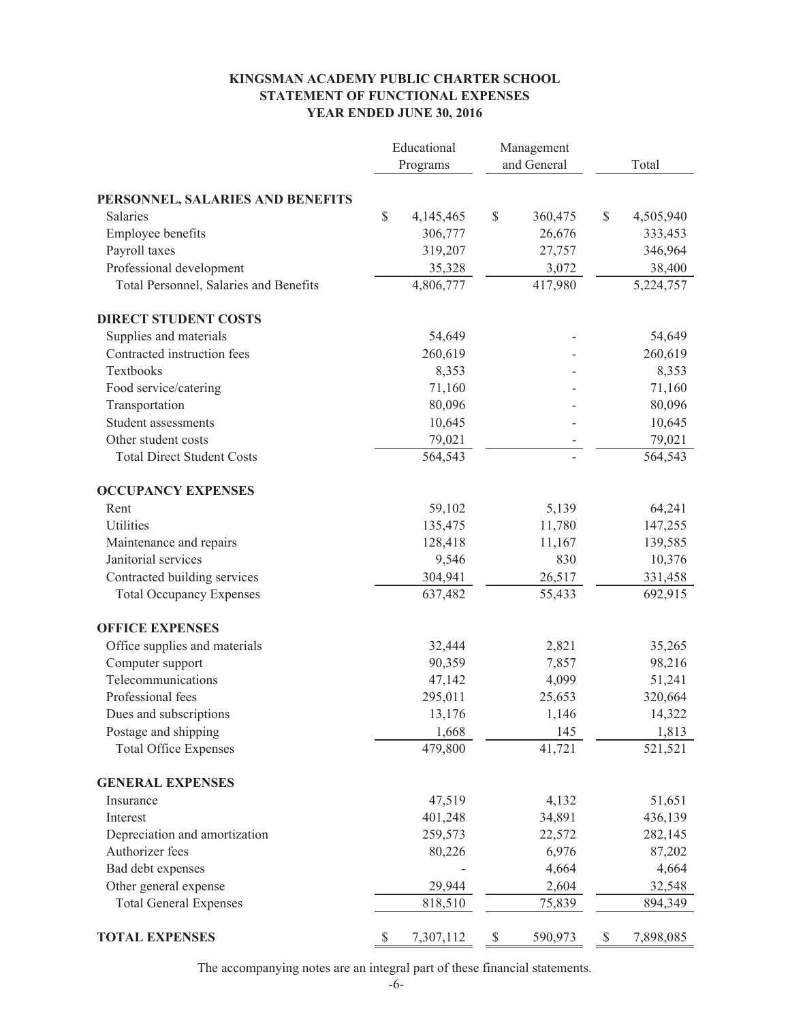## **KINGSMAN ACADEMY PUBLIC CHARTER SCHOOL STATEMENT OF FUNCTIONAL EXPENSES YEAR ENDED JUNE 30, 2016**

|                                        | Educational<br>Programs |           | Management<br>and General                   |         | Total        |           |
|----------------------------------------|-------------------------|-----------|---------------------------------------------|---------|--------------|-----------|
|                                        |                         |           |                                             |         |              |           |
| PERSONNEL, SALARIES AND BENEFITS       |                         |           |                                             |         |              |           |
| Salaries                               | \$                      | 4,145,465 | $\mathbb{S}% _{n}^{X\rightarrow\mathbb{R}}$ | 360,475 | $\mathbb{S}$ | 4,505,940 |
| <b>Employee benefits</b>               |                         | 306,777   |                                             | 26,676  |              | 333,453   |
| Payroll taxes                          |                         | 319,207   |                                             | 27,757  |              | 346,964   |
| Professional development               |                         | 35,328    |                                             | 3,072   |              | 38,400    |
| Total Personnel, Salaries and Benefits |                         | 4,806,777 |                                             | 417,980 |              | 5,224,757 |
| <b>DIRECT STUDENT COSTS</b>            |                         |           |                                             |         |              |           |
| Supplies and materials                 |                         | 54,649    |                                             |         |              | 54,649    |
| Contracted instruction fees            |                         | 260,619   |                                             |         |              | 260,619   |
| Textbooks                              |                         | 8,353     |                                             |         |              | 8,353     |
| Food service/catering                  |                         | 71,160    |                                             |         |              | 71,160    |
| Transportation                         |                         | 80,096    |                                             |         |              | 80,096    |
| Student assessments                    |                         | 10,645    |                                             |         |              | 10,645    |
| Other student costs                    |                         | 79,021    |                                             |         |              | 79,021    |
| <b>Total Direct Student Costs</b>      |                         | 564,543   |                                             |         |              | 564,543   |
| <b>OCCUPANCY EXPENSES</b>              |                         |           |                                             |         |              |           |
| Rent                                   |                         | 59,102    |                                             | 5,139   |              | 64,241    |
| <b>Utilities</b>                       |                         | 135,475   |                                             | 11,780  |              | 147,255   |
| Maintenance and repairs                |                         | 128,418   |                                             | 11,167  |              | 139,585   |
| Janitorial services                    |                         | 9,546     |                                             | 830     |              | 10,376    |
| Contracted building services           |                         | 304,941   |                                             | 26,517  |              | 331,458   |
| <b>Total Occupancy Expenses</b>        |                         | 637,482   |                                             | 55,433  |              | 692,915   |
| <b>OFFICE EXPENSES</b>                 |                         |           |                                             |         |              |           |
| Office supplies and materials          |                         | 32,444    |                                             | 2,821   |              | 35,265    |
| Computer support                       |                         | 90,359    |                                             | 7,857   |              | 98,216    |
| Telecommunications                     |                         | 47,142    |                                             | 4,099   |              | 51,241    |
| Professional fees                      |                         | 295,011   |                                             | 25,653  |              | 320,664   |
| Dues and subscriptions                 |                         | 13,176    |                                             | 1,146   |              | 14,322    |
| Postage and shipping                   |                         | 1,668     |                                             | 145     |              | 1,813     |
| <b>Total Office Expenses</b>           |                         | 479,800   |                                             | 41,721  |              | 521,521   |
| <b>GENERAL EXPENSES</b>                |                         |           |                                             |         |              |           |
| Insurance                              |                         | 47,519    |                                             | 4,132   |              | 51,651    |
| Interest                               |                         | 401,248   |                                             | 34,891  |              | 436,139   |
| Depreciation and amortization          |                         | 259,573   |                                             | 22,572  |              | 282,145   |
| Authorizer fees                        |                         | 80,226    |                                             | 6,976   |              | 87,202    |
| Bad debt expenses                      |                         |           |                                             | 4,664   |              | 4,664     |
| Other general expense                  |                         | 29,944    |                                             | 2,604   |              | 32,548    |
| <b>Total General Expenses</b>          |                         | 818,510   |                                             | 75,839  |              | 894,349   |
| <b>TOTAL EXPENSES</b>                  | \$                      | 7,307,112 | $\mathbb{S}% _{n}^{X\rightarrow\mathbb{R}}$ | 590,973 | \$           | 7,898,085 |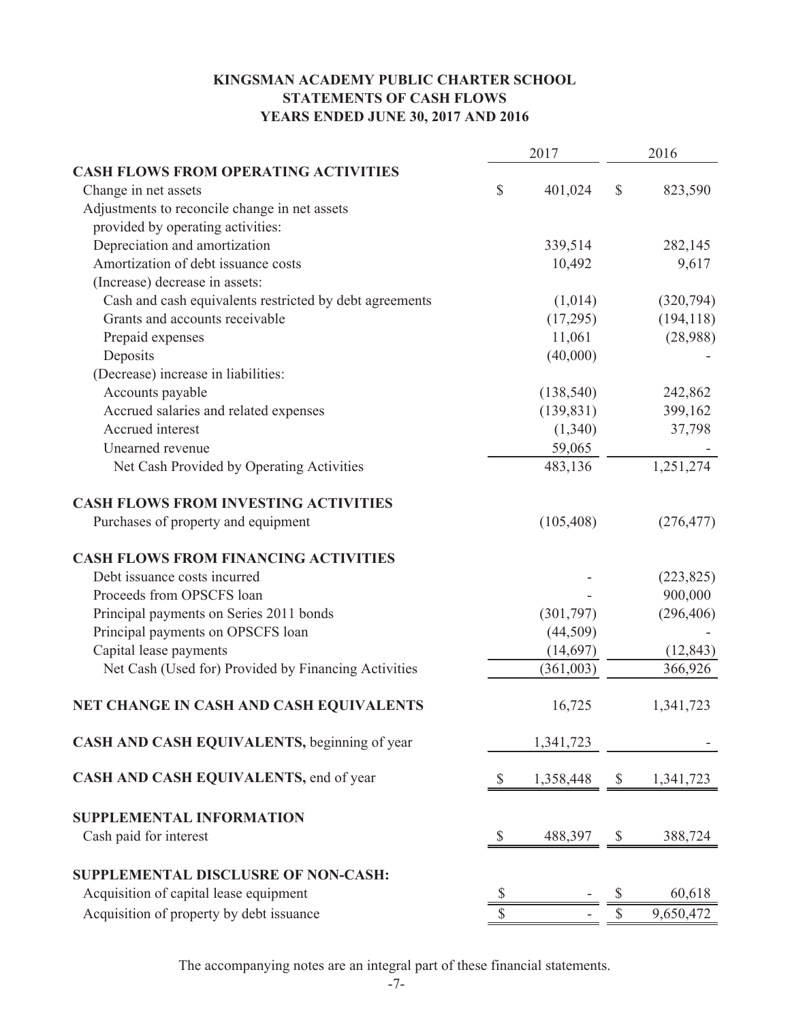# **KINGSMAN ACADEMY PUBLIC CHARTER SCHOOL STATEMENTS OF CASH FLOWS YEARS ENDED JUNE 30, 2017 AND 2016**

|                                                         | 2017 |            | 2016         |            |
|---------------------------------------------------------|------|------------|--------------|------------|
| <b>CASH FLOWS FROM OPERATING ACTIVITIES</b>             |      |            |              |            |
| Change in net assets                                    | \$   | 401,024    | $\mathbb{S}$ | 823,590    |
| Adjustments to reconcile change in net assets           |      |            |              |            |
| provided by operating activities:                       |      |            |              |            |
| Depreciation and amortization                           |      | 339,514    |              | 282,145    |
| Amortization of debt issuance costs                     |      | 10,492     |              | 9,617      |
| (Increase) decrease in assets:                          |      |            |              |            |
| Cash and cash equivalents restricted by debt agreements |      | (1,014)    |              | (320,794)  |
| Grants and accounts receivable                          |      | (17,295)   |              | (194, 118) |
| Prepaid expenses                                        |      | 11,061     |              | (28,988)   |
| Deposits                                                |      | (40,000)   |              |            |
| (Decrease) increase in liabilities:                     |      |            |              |            |
| Accounts payable                                        |      | (138, 540) |              | 242,862    |
| Accrued salaries and related expenses                   |      | (139, 831) |              | 399,162    |
| Accrued interest                                        |      | (1,340)    |              | 37,798     |
| Unearned revenue                                        |      | 59,065     |              |            |
| Net Cash Provided by Operating Activities               |      | 483,136    |              | 1,251,274  |
| <b>CASH FLOWS FROM INVESTING ACTIVITIES</b>             |      |            |              |            |
| Purchases of property and equipment                     |      | (105, 408) |              | (276, 477) |
| <b>CASH FLOWS FROM FINANCING ACTIVITIES</b>             |      |            |              |            |
| Debt issuance costs incurred                            |      |            |              | (223, 825) |
| Proceeds from OPSCFS loan                               |      |            |              | 900,000    |
| Principal payments on Series 2011 bonds                 |      | (301,797)  |              | (296, 406) |
| Principal payments on OPSCFS loan                       |      | (44, 509)  |              |            |
| Capital lease payments                                  |      | (14,697)   |              | (12, 843)  |
| Net Cash (Used for) Provided by Financing Activities    |      | (361,003)  |              | 366,926    |
| NET CHANGE IN CASH AND CASH EQUIVALENTS                 |      | 16,725     |              | 1,341,723  |
| CASH AND CASH EQUIVALENTS, beginning of year            |      | 1,341,723  |              |            |
| CASH AND CASH EQUIVALENTS, end of year                  | \$   | 1,358,448  | \$           | 1,341,723  |
| SUPPLEMENTAL INFORMATION                                |      |            |              |            |
| Cash paid for interest                                  | \$   | 488,397    | \$           | 388,724    |
| SUPPLEMENTAL DISCLUSRE OF NON-CASH:                     |      |            |              |            |
| Acquisition of capital lease equipment                  |      |            |              | 60,618     |
| Acquisition of property by debt issuance                |      |            |              | 9,650,472  |
|                                                         |      |            |              |            |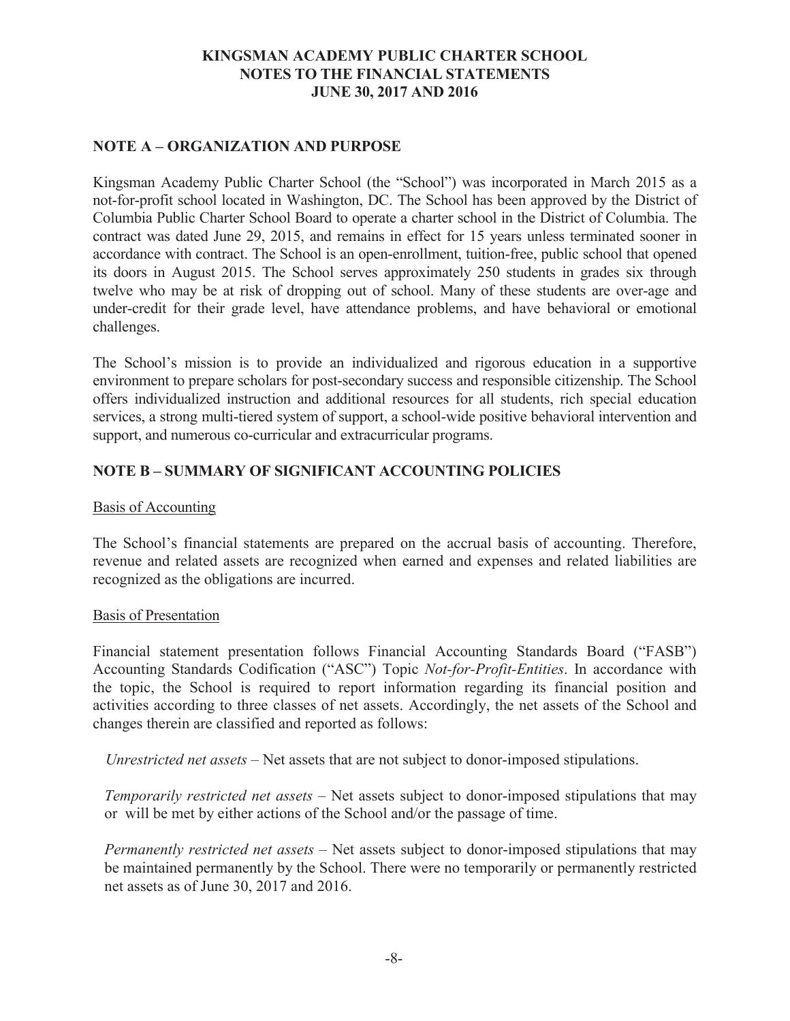# **NOTE A – ORGANIZATION AND PURPOSE**

Kingsman Academy Public Charter School (the "School") was incorporated in March 2015 as a not-for-profit school located in Washington, DC. The School has been approved by the District of Columbia Public Charter School Board to operate a charter school in the District of Columbia. The contract was dated June 29, 2015, and remains in effect for 15 years unless terminated sooner in accordance with contract. The School is an open-enrollment, tuition-free, public school that opened its doors in August 2015. The School serves approximately 250 students in grades six through twelve who may be at risk of dropping out of school. Many of these students are over-age and under-credit for their grade level, have attendance problems, and have behavioral or emotional challenges.

The School's mission is to provide an individualized and rigorous education in a supportive environment to prepare scholars for post-secondary success and responsible citizenship. The School offers individualized instruction and additional resources for all students, rich special education services, a strong multi-tiered system of support, a school-wide positive behavioral intervention and support, and numerous co-curricular and extracurricular programs.

# **NOTE B – SUMMARY OF SIGNIFICANT ACCOUNTING POLICIES**

# Basis of Accounting

The School's financial statements are prepared on the accrual basis of accounting. Therefore, revenue and related assets are recognized when earned and expenses and related liabilities are recognized as the obligations are incurred.

## Basis of Presentation

Financial statement presentation follows Financial Accounting Standards Board ("FASB") Accounting Standards Codification ("ASC") Topic *Not-for-Profit-Entities*. In accordance with the topic, the School is required to report information regarding its financial position and activities according to three classes of net assets. Accordingly, the net assets of the School and changes therein are classified and reported as follows:

*Unrestricted net assets* – Net assets that are not subject to donor-imposed stipulations.

*Temporarily restricted net assets* – Net assets subject to donor-imposed stipulations that may or will be met by either actions of the School and/or the passage of time.

*Permanently restricted net assets –* Net assets subject to donor-imposed stipulations that may be maintained permanently by the School. There were no temporarily or permanently restricted net assets as of June 30, 2017 and 2016.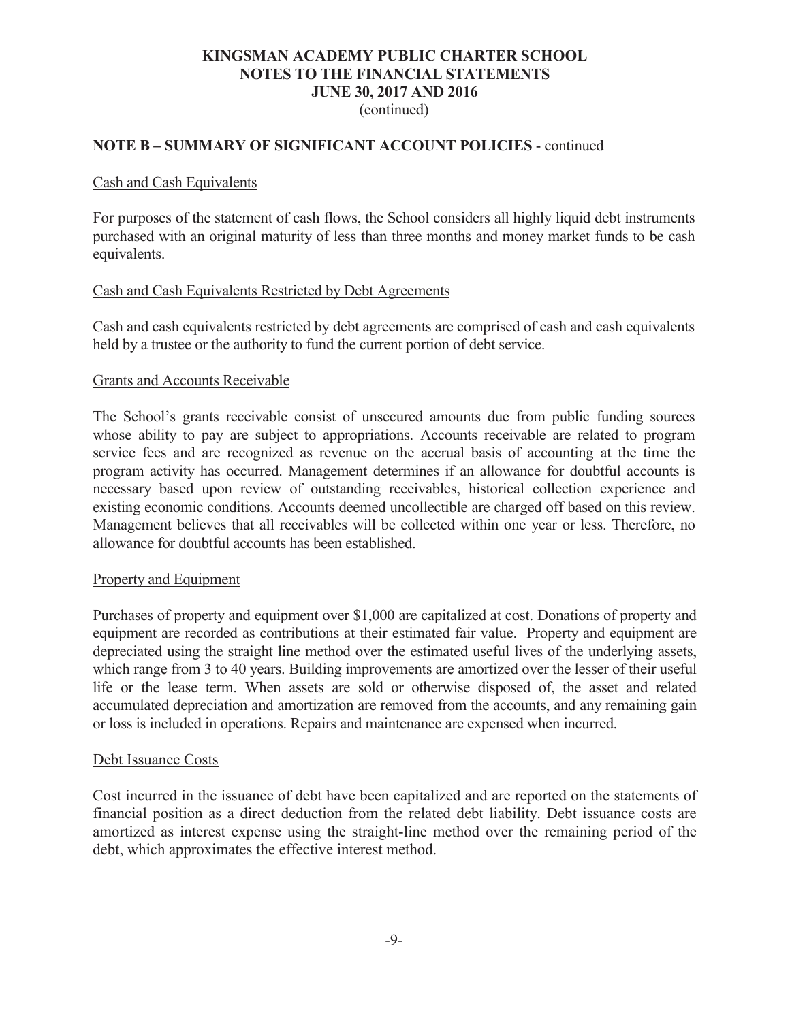(continued)

## **NOTE B – SUMMARY OF SIGNIFICANT ACCOUNT POLICIES** - continued

#### Cash and Cash Equivalents

For purposes of the statement of cash flows, the School considers all highly liquid debt instruments purchased with an original maturity of less than three months and money market funds to be cash equivalents.

### Cash and Cash Equivalents Restricted by Debt Agreements

Cash and cash equivalents restricted by debt agreements are comprised of cash and cash equivalents held by a trustee or the authority to fund the current portion of debt service.

### Grants and Accounts Receivable

The School's grants receivable consist of unsecured amounts due from public funding sources whose ability to pay are subject to appropriations. Accounts receivable are related to program service fees and are recognized as revenue on the accrual basis of accounting at the time the program activity has occurred. Management determines if an allowance for doubtful accounts is necessary based upon review of outstanding receivables, historical collection experience and existing economic conditions. Accounts deemed uncollectible are charged off based on this review. Management believes that all receivables will be collected within one year or less. Therefore, no allowance for doubtful accounts has been established.

### Property and Equipment

Purchases of property and equipment over \$1,000 are capitalized at cost. Donations of property and equipment are recorded as contributions at their estimated fair value. Property and equipment are depreciated using the straight line method over the estimated useful lives of the underlying assets, which range from 3 to 40 years. Building improvements are amortized over the lesser of their useful life or the lease term. When assets are sold or otherwise disposed of, the asset and related accumulated depreciation and amortization are removed from the accounts, and any remaining gain or loss is included in operations. Repairs and maintenance are expensed when incurred.

#### Debt Issuance Costs

Cost incurred in the issuance of debt have been capitalized and are reported on the statements of financial position as a direct deduction from the related debt liability. Debt issuance costs are amortized as interest expense using the straight-line method over the remaining period of the debt, which approximates the effective interest method.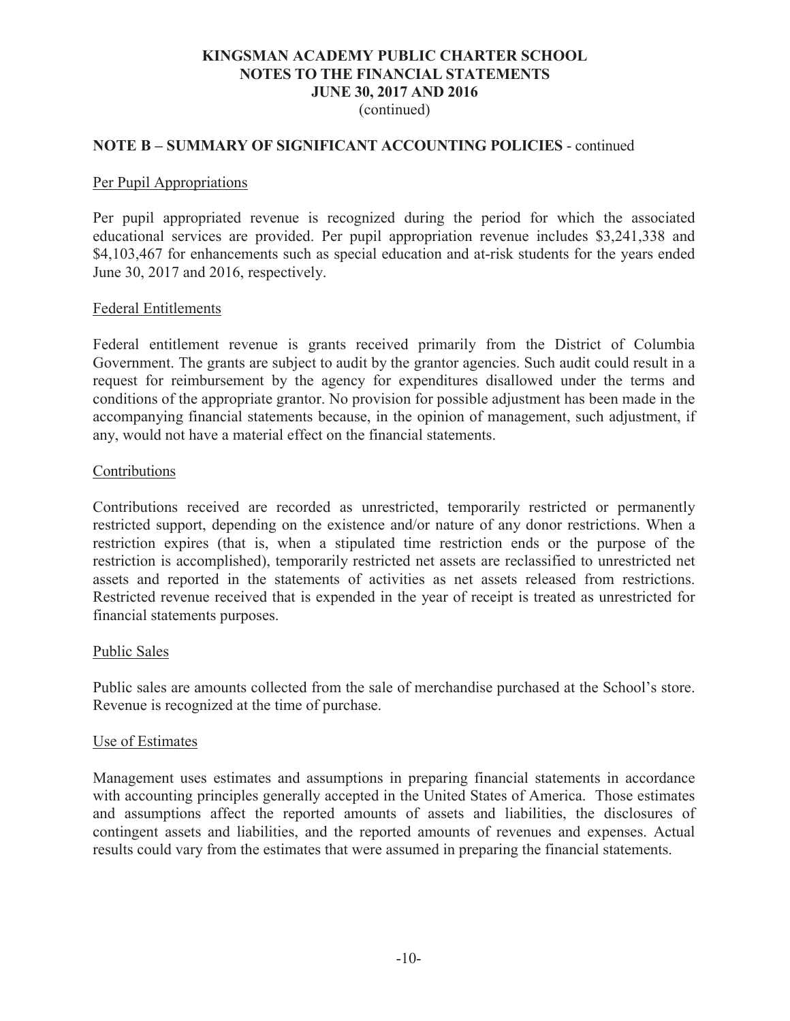(continued)

### **NOTE B – SUMMARY OF SIGNIFICANT ACCOUNTING POLICIES** - continued

#### Per Pupil Appropriations

Per pupil appropriated revenue is recognized during the period for which the associated educational services are provided. Per pupil appropriation revenue includes \$3,241,338 and \$4,103,467 for enhancements such as special education and at-risk students for the years ended June 30, 2017 and 2016, respectively.

#### Federal Entitlements

Federal entitlement revenue is grants received primarily from the District of Columbia Government. The grants are subject to audit by the grantor agencies. Such audit could result in a request for reimbursement by the agency for expenditures disallowed under the terms and conditions of the appropriate grantor. No provision for possible adjustment has been made in the accompanying financial statements because, in the opinion of management, such adjustment, if any, would not have a material effect on the financial statements.

#### Contributions

Contributions received are recorded as unrestricted, temporarily restricted or permanently restricted support, depending on the existence and/or nature of any donor restrictions. When a restriction expires (that is, when a stipulated time restriction ends or the purpose of the restriction is accomplished), temporarily restricted net assets are reclassified to unrestricted net assets and reported in the statements of activities as net assets released from restrictions. Restricted revenue received that is expended in the year of receipt is treated as unrestricted for financial statements purposes.

#### Public Sales

Public sales are amounts collected from the sale of merchandise purchased at the School's store. Revenue is recognized at the time of purchase.

#### Use of Estimates

Management uses estimates and assumptions in preparing financial statements in accordance with accounting principles generally accepted in the United States of America. Those estimates and assumptions affect the reported amounts of assets and liabilities, the disclosures of contingent assets and liabilities, and the reported amounts of revenues and expenses. Actual results could vary from the estimates that were assumed in preparing the financial statements.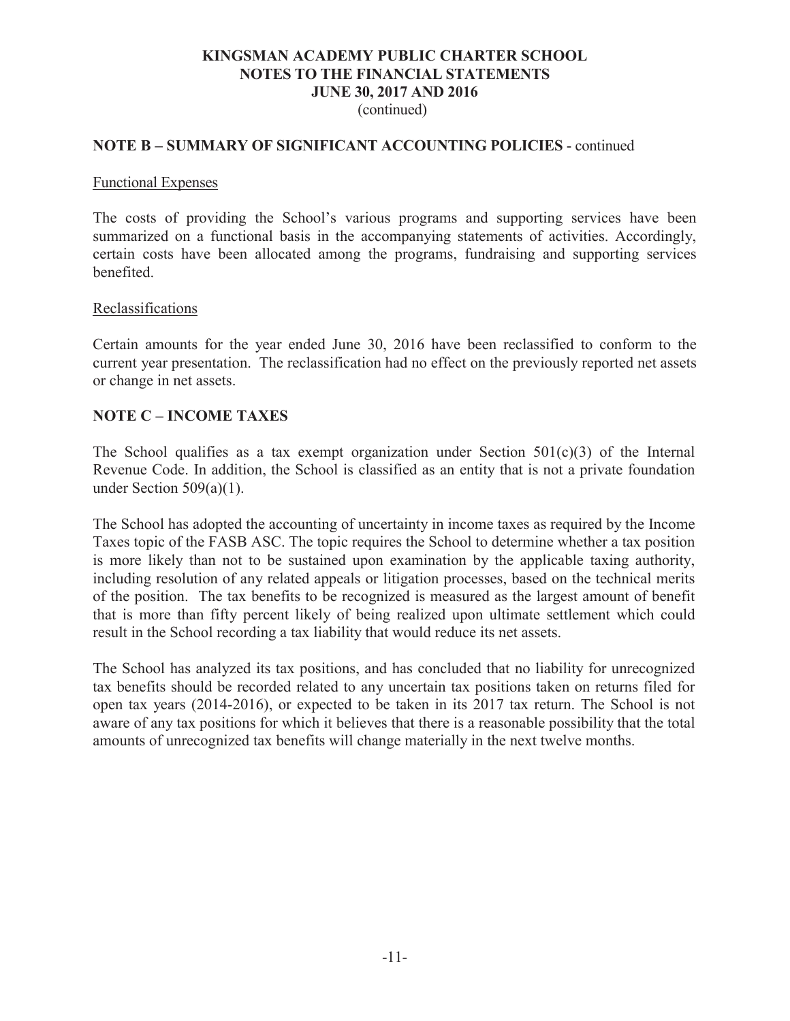(continued)

## **NOTE B – SUMMARY OF SIGNIFICANT ACCOUNTING POLICIES** - continued

#### Functional Expenses

The costs of providing the School's various programs and supporting services have been summarized on a functional basis in the accompanying statements of activities. Accordingly, certain costs have been allocated among the programs, fundraising and supporting services benefited.

#### Reclassifications

Certain amounts for the year ended June 30, 2016 have been reclassified to conform to the current year presentation. The reclassification had no effect on the previously reported net assets or change in net assets.

## **NOTE C – INCOME TAXES**

The School qualifies as a tax exempt organization under Section  $501(c)(3)$  of the Internal Revenue Code. In addition, the School is classified as an entity that is not a private foundation under Section  $509(a)(1)$ .

The School has adopted the accounting of uncertainty in income taxes as required by the Income Taxes topic of the FASB ASC. The topic requires the School to determine whether a tax position is more likely than not to be sustained upon examination by the applicable taxing authority, including resolution of any related appeals or litigation processes, based on the technical merits of the position. The tax benefits to be recognized is measured as the largest amount of benefit that is more than fifty percent likely of being realized upon ultimate settlement which could result in the School recording a tax liability that would reduce its net assets.

The School has analyzed its tax positions, and has concluded that no liability for unrecognized tax benefits should be recorded related to any uncertain tax positions taken on returns filed for open tax years (2014-2016), or expected to be taken in its 2017 tax return. The School is not aware of any tax positions for which it believes that there is a reasonable possibility that the total amounts of unrecognized tax benefits will change materially in the next twelve months.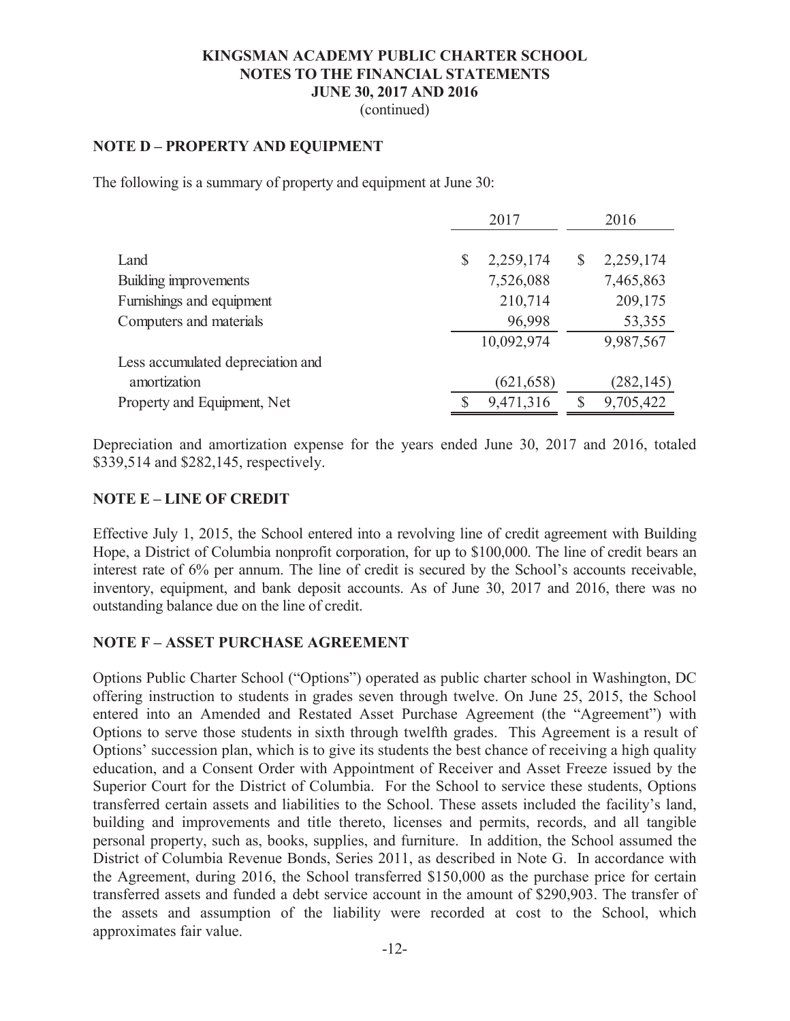(continued)

## **NOTE D – PROPERTY AND EQUIPMENT**

The following is a summary of property and equipment at June 30:

|                                   | 2017            |          | 2016       |
|-----------------------------------|-----------------|----------|------------|
|                                   |                 |          |            |
| Land                              | 2,259,174<br>\$ | \$       | 2,259,174  |
| Building improvements             | 7,526,088       |          | 7,465,863  |
| Furnishings and equipment         | 210,714         |          | 209,175    |
| Computers and materials           | 96,998          |          | 53,355     |
|                                   | 10,092,974      |          | 9,987,567  |
| Less accumulated depreciation and |                 |          |            |
| amortization                      | (621, 658)      |          | (282, 145) |
| Property and Equipment, Net       | 9,471,316       | <b>S</b> | 9,705,422  |

Depreciation and amortization expense for the years ended June 30, 2017 and 2016, totaled \$339,514 and \$282,145, respectively.

### **NOTE E – LINE OF CREDIT**

Effective July 1, 2015, the School entered into a revolving line of credit agreement with Building Hope, a District of Columbia nonprofit corporation, for up to \$100,000. The line of credit bears an interest rate of 6% per annum. The line of credit is secured by the School's accounts receivable, inventory, equipment, and bank deposit accounts. As of June 30, 2017 and 2016, there was no outstanding balance due on the line of credit.

#### **NOTE F – ASSET PURCHASE AGREEMENT**

Options Public Charter School ("Options") operated as public charter school in Washington, DC offering instruction to students in grades seven through twelve. On June 25, 2015, the School entered into an Amended and Restated Asset Purchase Agreement (the "Agreement") with Options to serve those students in sixth through twelfth grades. This Agreement is a result of Options' succession plan, which is to give its students the best chance of receiving a high quality education, and a Consent Order with Appointment of Receiver and Asset Freeze issued by the Superior Court for the District of Columbia. For the School to service these students, Options transferred certain assets and liabilities to the School. These assets included the facility's land, building and improvements and title thereto, licenses and permits, records, and all tangible personal property, such as, books, supplies, and furniture. In addition, the School assumed the District of Columbia Revenue Bonds, Series 2011, as described in Note G. In accordance with the Agreement, during 2016, the School transferred \$150,000 as the purchase price for certain transferred assets and funded a debt service account in the amount of \$290,903. The transfer of the assets and assumption of the liability were recorded at cost to the School, which approximates fair value.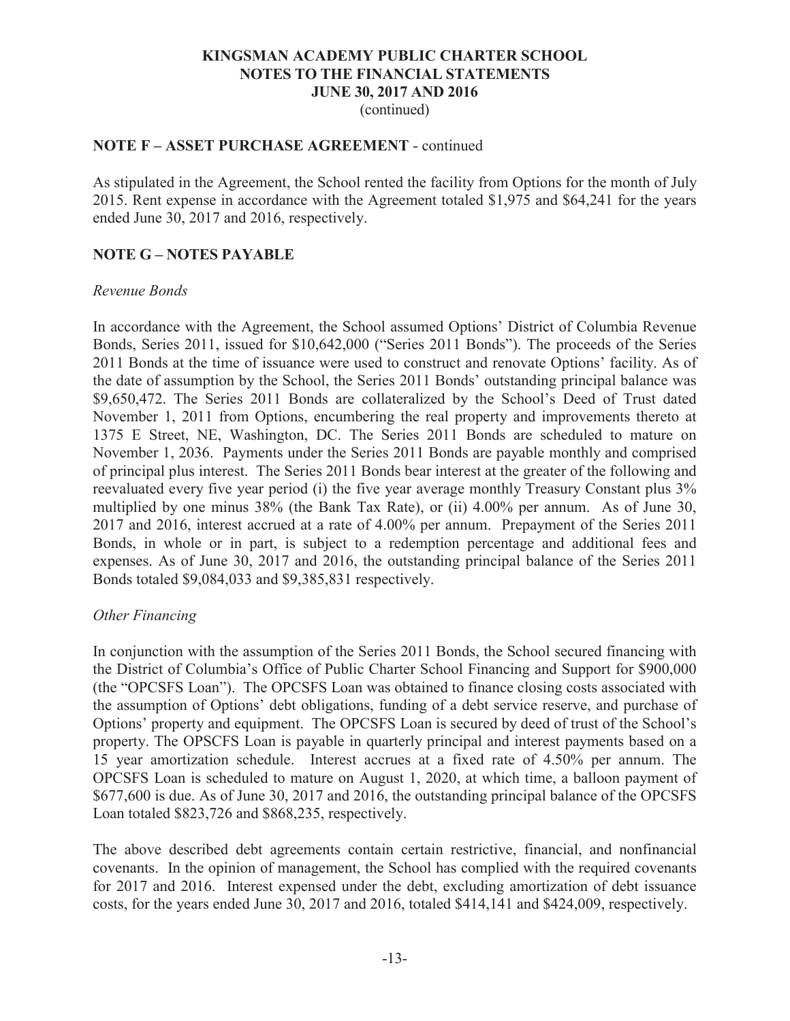## (continued)

## **NOTE F – ASSET PURCHASE AGREEMENT** - continued

As stipulated in the Agreement, the School rented the facility from Options for the month of July 2015. Rent expense in accordance with the Agreement totaled \$1,975 and \$64,241 for the years ended June 30, 2017 and 2016, respectively.

# **NOTE G – NOTES PAYABLE**

### *Revenue Bonds*

In accordance with the Agreement, the School assumed Options' District of Columbia Revenue Bonds, Series 2011, issued for \$10,642,000 ("Series 2011 Bonds"). The proceeds of the Series 2011 Bonds at the time of issuance were used to construct and renovate Options' facility. As of the date of assumption by the School, the Series 2011 Bonds' outstanding principal balance was \$9,650,472. The Series 2011 Bonds are collateralized by the School's Deed of Trust dated November 1, 2011 from Options, encumbering the real property and improvements thereto at 1375 E Street, NE, Washington, DC. The Series 2011 Bonds are scheduled to mature on November 1, 2036. Payments under the Series 2011 Bonds are payable monthly and comprised of principal plus interest. The Series 2011 Bonds bear interest at the greater of the following and reevaluated every five year period (i) the five year average monthly Treasury Constant plus 3% multiplied by one minus 38% (the Bank Tax Rate), or (ii) 4.00% per annum. As of June 30, 2017 and 2016, interest accrued at a rate of 4.00% per annum. Prepayment of the Series 2011 Bonds, in whole or in part, is subject to a redemption percentage and additional fees and expenses. As of June 30, 2017 and 2016, the outstanding principal balance of the Series 2011 Bonds totaled \$9,084,033 and \$9,385,831 respectively.

## *Other Financing*

In conjunction with the assumption of the Series 2011 Bonds, the School secured financing with the District of Columbia's Office of Public Charter School Financing and Support for \$900,000 (the "OPCSFS Loan"). The OPCSFS Loan was obtained to finance closing costs associated with the assumption of Options' debt obligations, funding of a debt service reserve, and purchase of Options' property and equipment. The OPCSFS Loan is secured by deed of trust of the School's property. The OPSCFS Loan is payable in quarterly principal and interest payments based on a 15 year amortization schedule. Interest accrues at a fixed rate of 4.50% per annum. The OPCSFS Loan is scheduled to mature on August 1, 2020, at which time, a balloon payment of \$677,600 is due. As of June 30, 2017 and 2016, the outstanding principal balance of the OPCSFS Loan totaled \$823,726 and \$868,235, respectively.

The above described debt agreements contain certain restrictive, financial, and nonfinancial covenants. In the opinion of management, the School has complied with the required covenants for 2017 and 2016. Interest expensed under the debt, excluding amortization of debt issuance costs, for the years ended June 30, 2017 and 2016, totaled \$414,141 and \$424,009, respectively.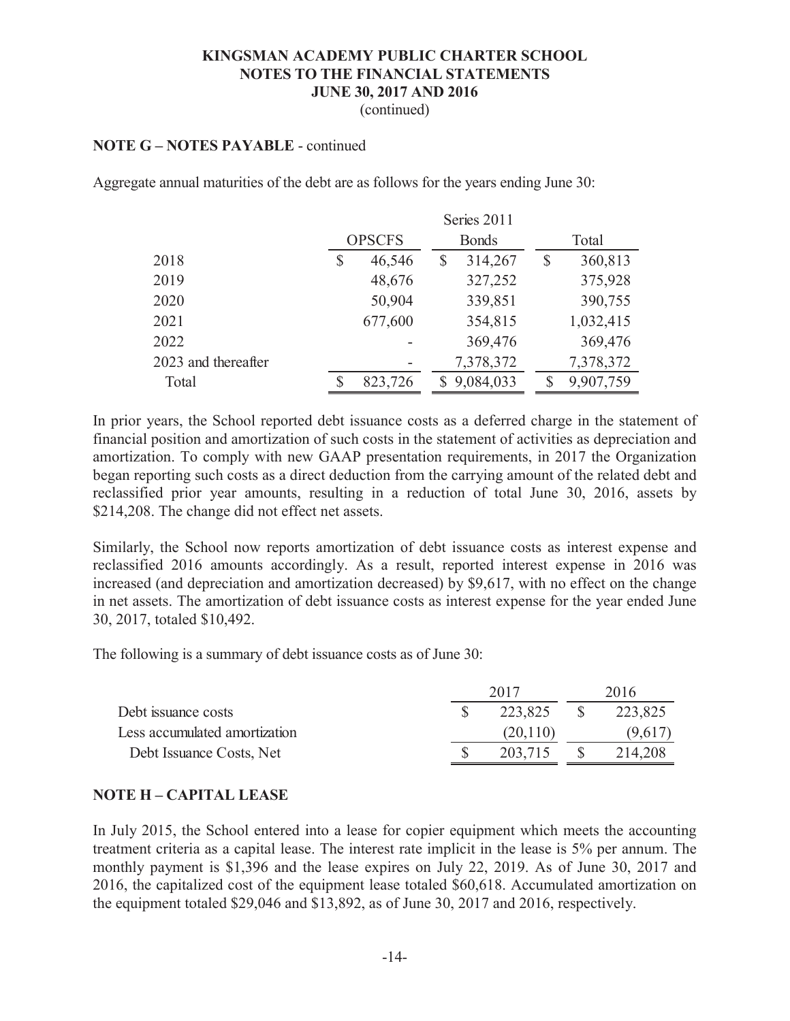(continued)

## **NOTE G – NOTES PAYABLE** - continued

Aggregate annual maturities of the debt are as follows for the years ending June 30:

|                     |    | Series 2011   |    |             |   |              |  |       |
|---------------------|----|---------------|----|-------------|---|--------------|--|-------|
|                     |    | <b>OPSCFS</b> |    |             |   | <b>Bonds</b> |  | Total |
| 2018                | \$ | 46,546        | \$ | 314,267     | S | 360,813      |  |       |
| 2019                |    | 48,676        |    | 327,252     |   | 375,928      |  |       |
| 2020                |    | 50,904        |    | 339,851     |   | 390,755      |  |       |
| 2021                |    | 677,600       |    | 354,815     |   | 1,032,415    |  |       |
| 2022                |    |               |    | 369,476     |   | 369,476      |  |       |
| 2023 and thereafter |    |               |    | 7,378,372   |   | 7,378,372    |  |       |
| Total               |    | 823,726       |    | \$9,084,033 |   | 9,907,759    |  |       |

In prior years, the School reported debt issuance costs as a deferred charge in the statement of financial position and amortization of such costs in the statement of activities as depreciation and amortization. To comply with new GAAP presentation requirements, in 2017 the Organization began reporting such costs as a direct deduction from the carrying amount of the related debt and reclassified prior year amounts, resulting in a reduction of total June 30, 2016, assets by \$214,208. The change did not effect net assets.

Similarly, the School now reports amortization of debt issuance costs as interest expense and reclassified 2016 amounts accordingly. As a result, reported interest expense in 2016 was increased (and depreciation and amortization decreased) by \$9,617, with no effect on the change in net assets. The amortization of debt issuance costs as interest expense for the year ended June 30, 2017, totaled \$10,492.

The following is a summary of debt issuance costs as of June 30:

|                               | 2017 |           | 2016 |         |
|-------------------------------|------|-----------|------|---------|
| Debt issuance costs           |      | 223.825   |      | 223,825 |
| Less accumulated amortization |      | (20, 110) |      | (9,617) |
| Debt Issuance Costs, Net      |      | 203.715   |      | 214,208 |

## **NOTE H – CAPITAL LEASE**

In July 2015, the School entered into a lease for copier equipment which meets the accounting treatment criteria as a capital lease. The interest rate implicit in the lease is 5% per annum. The monthly payment is \$1,396 and the lease expires on July 22, 2019. As of June 30, 2017 and 2016, the capitalized cost of the equipment lease totaled \$60,618. Accumulated amortization on the equipment totaled \$29,046 and \$13,892, as of June 30, 2017 and 2016, respectively.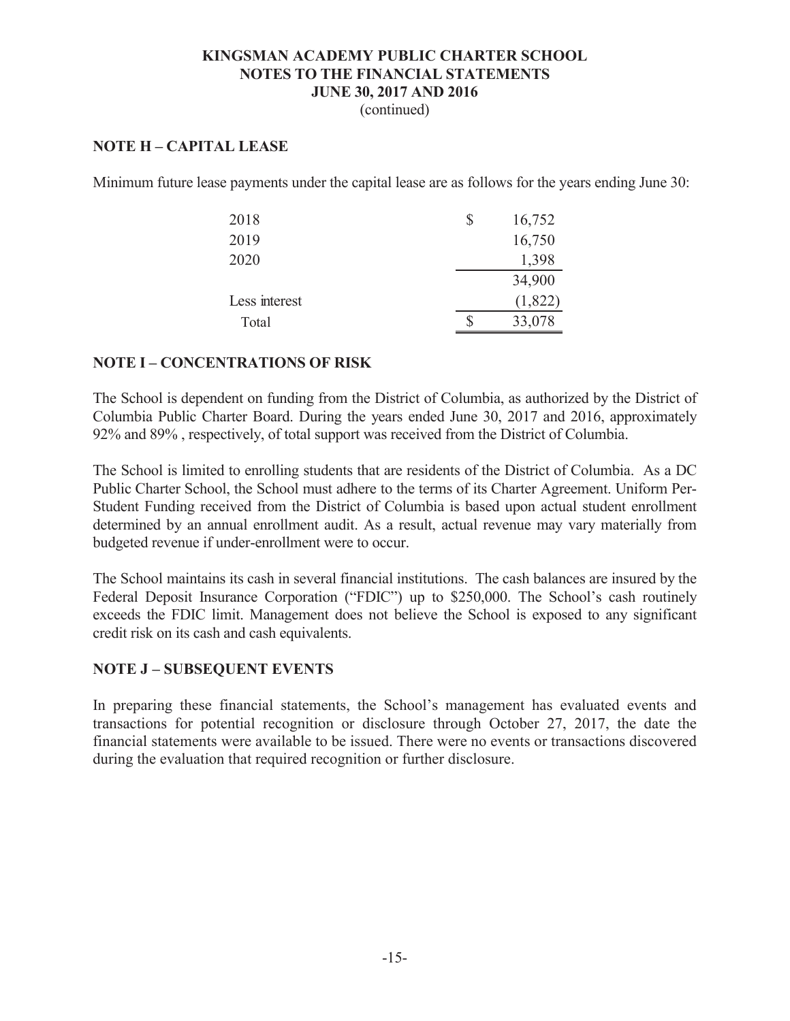(continued)

# **NOTE H – CAPITAL LEASE**

Minimum future lease payments under the capital lease are as follows for the years ending June 30:

| 2018          | \$<br>16,752 |
|---------------|--------------|
| 2019          | 16,750       |
| 2020          | 1,398        |
|               | 34,900       |
| Less interest | (1,822)      |
| Total         | 33,078       |

## **NOTE I – CONCENTRATIONS OF RISK**

The School is dependent on funding from the District of Columbia, as authorized by the District of Columbia Public Charter Board. During the years ended June 30, 2017 and 2016, approximately 92% and 89% , respectively, of total support was received from the District of Columbia.

The School is limited to enrolling students that are residents of the District of Columbia. As a DC Public Charter School, the School must adhere to the terms of its Charter Agreement. Uniform Per-Student Funding received from the District of Columbia is based upon actual student enrollment determined by an annual enrollment audit. As a result, actual revenue may vary materially from budgeted revenue if under-enrollment were to occur.

The School maintains its cash in several financial institutions. The cash balances are insured by the Federal Deposit Insurance Corporation ("FDIC") up to \$250,000. The School's cash routinely exceeds the FDIC limit. Management does not believe the School is exposed to any significant credit risk on its cash and cash equivalents.

# **NOTE J – SUBSEQUENT EVENTS**

In preparing these financial statements, the School's management has evaluated events and transactions for potential recognition or disclosure through October 27, 2017, the date the financial statements were available to be issued. There were no events or transactions discovered during the evaluation that required recognition or further disclosure.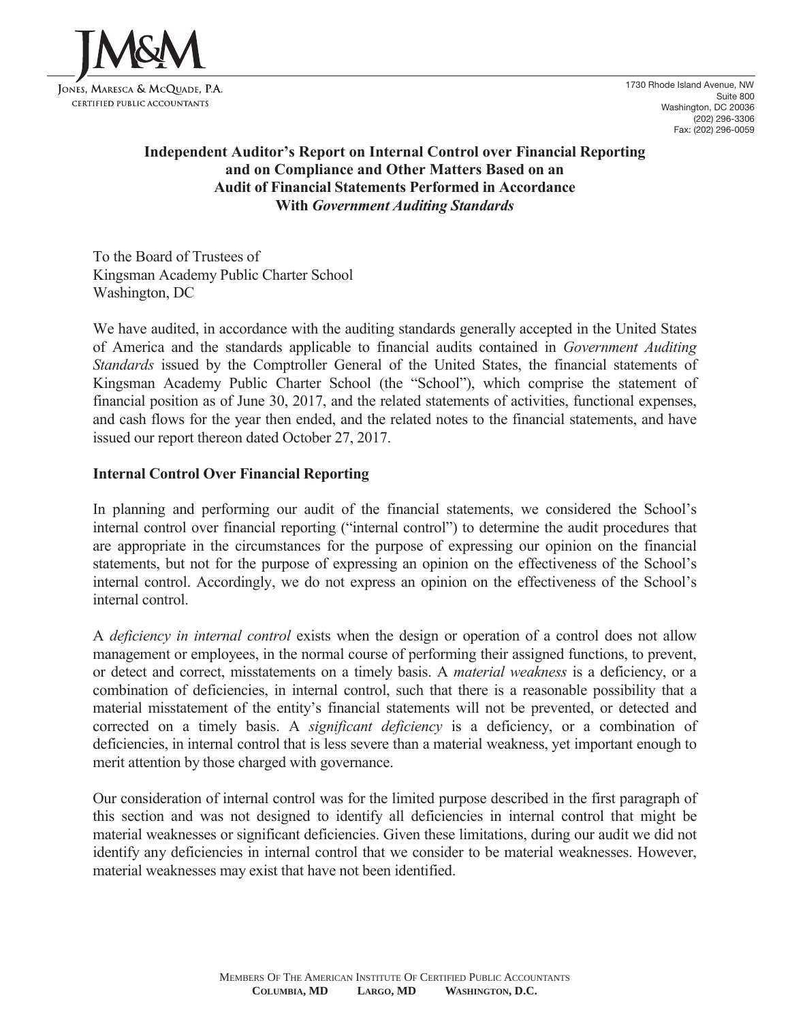

1730 Rhode Island Avenue, NW Suite 800 Washington, DC 20036 (202) 296-3306 Fax: (202) 296-0059

# **Independent Auditor's Report on Internal Control over Financial Reporting and on Compliance and Other Matters Based on an Audit of Financial Statements Performed in Accordance With** *Government Auditing Standards*

To the Board of Trustees of Kingsman Academy Public Charter School Washington, DC

We have audited, in accordance with the auditing standards generally accepted in the United States of America and the standards applicable to financial audits contained in *Government Auditing Standards* issued by the Comptroller General of the United States, the financial statements of Kingsman Academy Public Charter School (the "School"), which comprise the statement of financial position as of June 30, 2017, and the related statements of activities, functional expenses, and cash flows for the year then ended, and the related notes to the financial statements, and have issued our report thereon dated October 27, 2017.

# **Internal Control Over Financial Reporting**

In planning and performing our audit of the financial statements, we considered the School's internal control over financial reporting ("internal control") to determine the audit procedures that are appropriate in the circumstances for the purpose of expressing our opinion on the financial statements, but not for the purpose of expressing an opinion on the effectiveness of the School's internal control. Accordingly, we do not express an opinion on the effectiveness of the School's internal control.

A *deficiency in internal control* exists when the design or operation of a control does not allow management or employees, in the normal course of performing their assigned functions, to prevent, or detect and correct, misstatements on a timely basis. A *material weakness* is a deficiency, or a combination of deficiencies, in internal control, such that there is a reasonable possibility that a material misstatement of the entity's financial statements will not be prevented, or detected and corrected on a timely basis. A *significant deficiency* is a deficiency, or a combination of deficiencies, in internal control that is less severe than a material weakness, yet important enough to merit attention by those charged with governance.

Our consideration of internal control was for the limited purpose described in the first paragraph of this section and was not designed to identify all deficiencies in internal control that might be material weaknesses or significant deficiencies. Given these limitations, during our audit we did not identify any deficiencies in internal control that we consider to be material weaknesses. However, material weaknesses may exist that have not been identified.